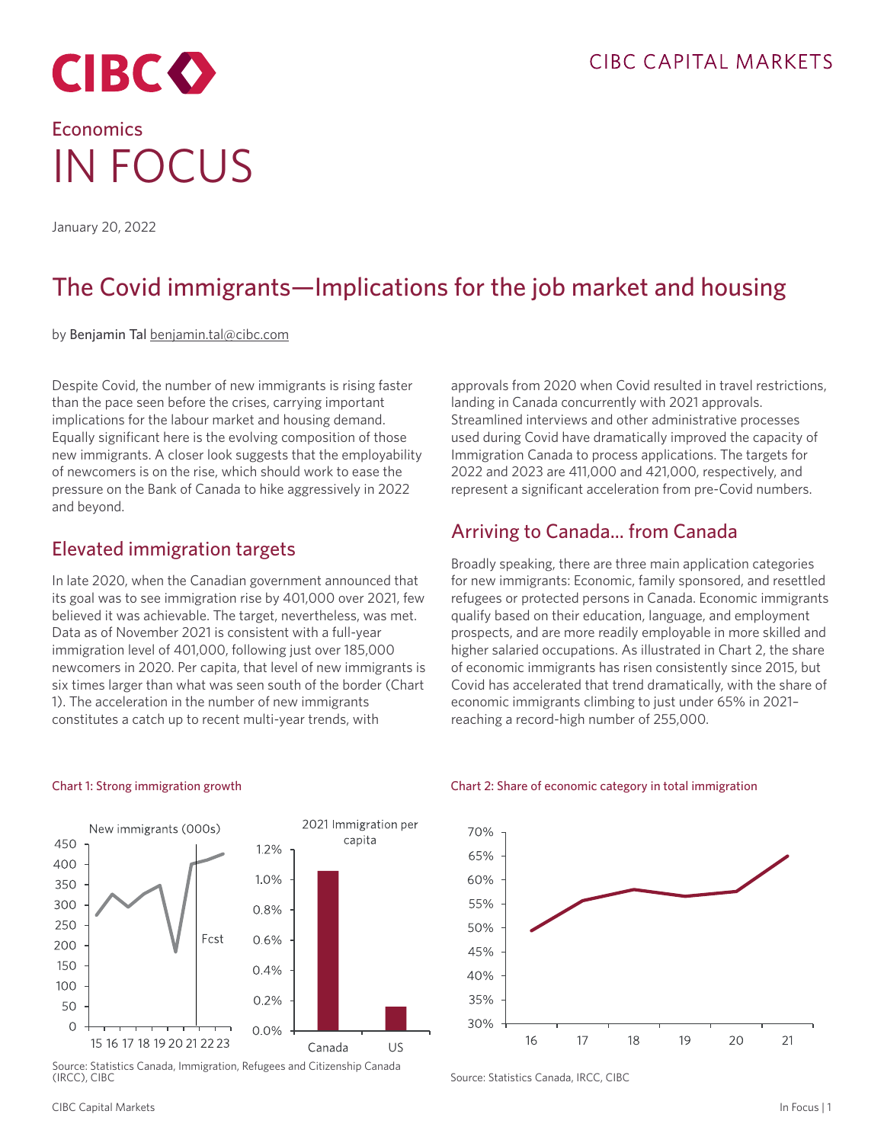

# **Economics** IN FOCUS

January 20, 2022

## The Covid immigrants—Implications for the job market and housing

by Benjamin Tal [benjamin.tal@cibc.com](mailto:benjamin.tal%40cibc.com?subject=)

Despite Covid, the number of new immigrants is rising faster than the pace seen before the crises, carrying important implications for the labour market and housing demand. Equally significant here is the evolving composition of those new immigrants. A closer look suggests that the employability of newcomers is on the rise, which should work to ease the pressure on the Bank of Canada to hike aggressively in 2022 and beyond.

### Elevated immigration targets

In late 2020, when the Canadian government announced that its goal was to see immigration rise by 401,000 over 2021, few believed it was achievable. The target, nevertheless, was met. Data as of November 2021 is consistent with a full-year immigration level of 401,000, following just over 185,000 newcomers in 2020. Per capita, that level of new immigrants is six times larger than what was seen south of the border (Chart 1). The acceleration in the number of new immigrants constitutes a catch up to recent multi-year trends, with

approvals from 2020 when Covid resulted in travel restrictions, landing in Canada concurrently with 2021 approvals. Streamlined interviews and other administrative processes used during Covid have dramatically improved the capacity of Immigration Canada to process applications. The targets for 2022 and 2023 are 411,000 and 421,000, respectively, and represent a significant acceleration from pre-Covid numbers.

### Arriving to Canada... from Canada

Broadly speaking, there are three main application categories for new immigrants: Economic, family sponsored, and resettled refugees or protected persons in Canada. Economic immigrants qualify based on their education, language, and employment prospects, and are more readily employable in more skilled and higher salaried occupations. As illustrated in Chart 2, the share of economic immigrants has risen consistently since 2015, but Covid has accelerated that trend dramatically, with the share of economic immigrants climbing to just under 65% in 2021– reaching a record-high number of 255,000.



Chart 1: Strong immigration growth

Source: Statistics Canada, Immigration, Refugees and Citizenship Canada (IRCC), CIBC

#### Chart 2: Share of economic category in total immigration



Source: Statistics Canada, IRCC, CIBC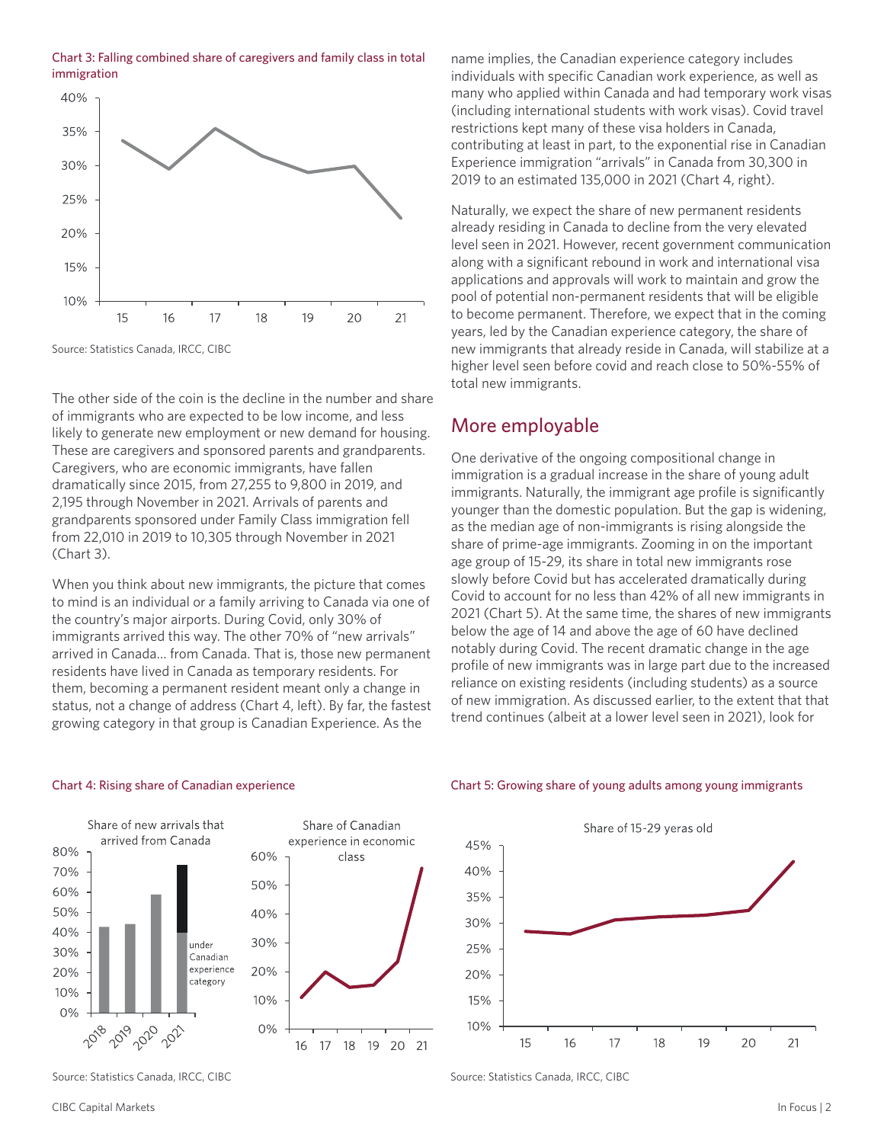



Source: Statistics Canada, IRCC, CIBC

The other side of the coin is the decline in the number and share of immigrants who are expected to be low income, and less likely to generate new employment or new demand for housing. These are caregivers and sponsored parents and grandparents. Caregivers, who are economic immigrants, have fallen dramatically since 2015, from 27,255 to 9,800 in 2019, and 2,195 through November in 2021. Arrivals of parents and grandparents sponsored under Family Class immigration fell from 22,010 in 2019 to 10,305 through November in 2021 (Chart 3).

When you think about new immigrants, the picture that comes to mind is an individual or a family arriving to Canada via one of the country's major airports. During Covid, only 30% of immigrants arrived this way. The other 70% of "new arrivals" arrived in Canada… from Canada. That is, those new permanent residents have lived in Canada as temporary residents. For them, becoming a permanent resident meant only a change in status, not a change of address (Chart 4, left). By far, the fastest growing category in that group is Canadian Experience. As the

Chart 4: Rising share of Canadian experience





Chart 5: Growing share of young adults among young immigrants

Source: Statistics Canada, IRCC, CIBC

name implies, the Canadian experience category includes individuals with specific Canadian work experience, as well as many who applied within Canada and had temporary work visas (including international students with work visas). Covid travel restrictions kept many of these visa holders in Canada, contributing at least in part, to the exponential rise in Canadian Experience immigration "arrivals" in Canada from 30,300 in 2019 to an estimated 135,000 in 2021 (Chart 4, right).

Naturally, we expect the share of new permanent residents already residing in Canada to decline from the very elevated level seen in 2021. However, recent government communication along with a significant rebound in work and international visa applications and approvals will work to maintain and grow the pool of potential non-permanent residents that will be eligible to become permanent. Therefore, we expect that in the coming years, led by the Canadian experience category, the share of new immigrants that already reside in Canada, will stabilize at a higher level seen before covid and reach close to 50%-55% of total new immigrants.

#### More employable

One derivative of the ongoing compositional change in immigration is a gradual increase in the share of young adult immigrants. Naturally, the immigrant age profile is significantly younger than the domestic population. But the gap is widening, as the median age of non-immigrants is rising alongside the share of prime-age immigrants. Zooming in on the important age group of 15-29, its share in total new immigrants rose slowly before Covid but has accelerated dramatically during Covid to account for no less than 42% of all new immigrants in 2021 (Chart 5). At the same time, the shares of new immigrants below the age of 14 and above the age of 60 have declined notably during Covid. The recent dramatic change in the age profile of new immigrants was in large part due to the increased reliance on existing residents (including students) as a source of new immigration. As discussed earlier, to the extent that that trend continues (albeit at a lower level seen in 2021), look for

### Source: Statistics Canada, IRCC, CIBC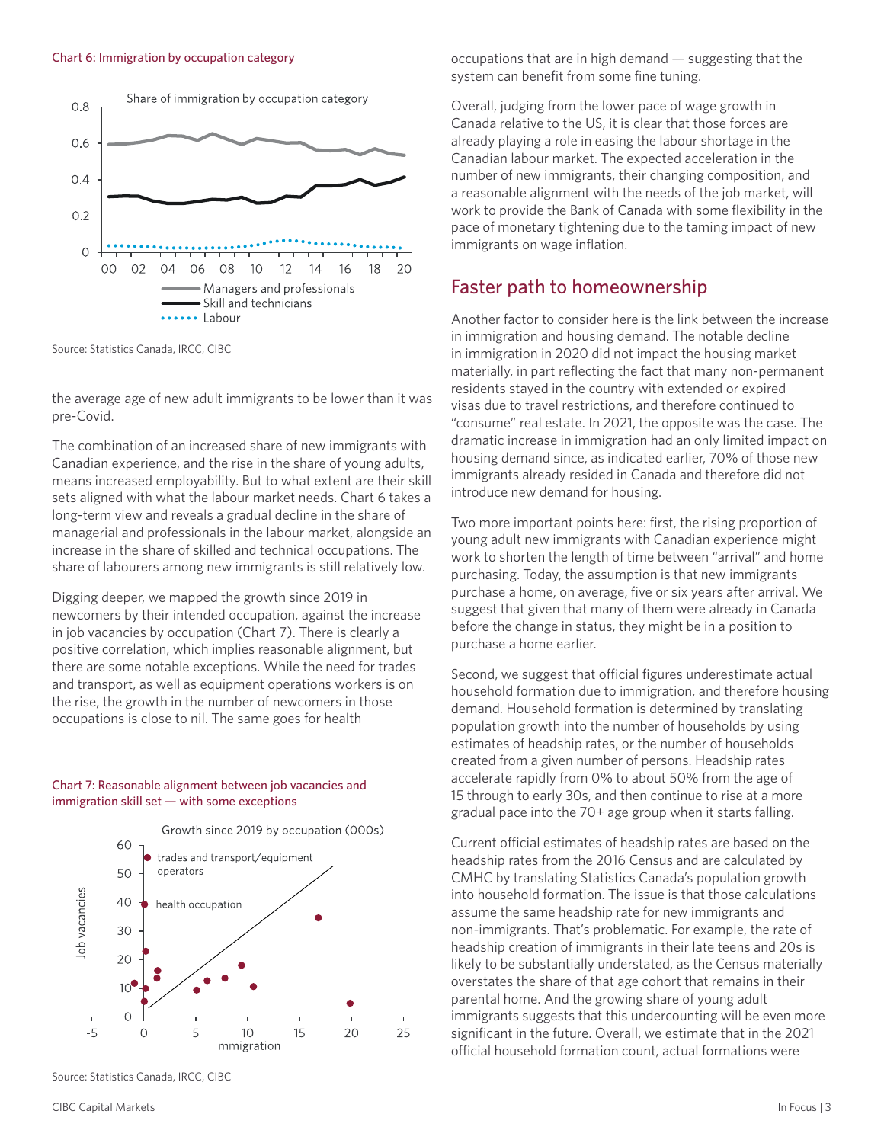

Source: Statistics Canada, IRCC, CIBC

the average age of new adult immigrants to be lower than it was pre-Covid.

The combination of an increased share of new immigrants with Canadian experience, and the rise in the share of young adults, means increased employability. But to what extent are their skill sets aligned with what the labour market needs. Chart 6 takes a long-term view and reveals a gradual decline in the share of managerial and professionals in the labour market, alongside an increase in the share of skilled and technical occupations. The share of labourers among new immigrants is still relatively low.

Digging deeper, we mapped the growth since 2019 in newcomers by their intended occupation, against the increase in job vacancies by occupation (Chart 7). There is clearly a positive correlation, which implies reasonable alignment, but there are some notable exceptions. While the need for trades and transport, as well as equipment operations workers is on the rise, the growth in the number of newcomers in those occupations is close to nil. The same goes for health

#### Chart 7: Reasonable alignment between job vacancies and immigration skill set — with some exceptions



Source: Statistics Canada, IRCC, CIBC

occupations that are in high demand — suggesting that the system can benefit from some fine tuning.

Overall, judging from the lower pace of wage growth in Canada relative to the US, it is clear that those forces are already playing a role in easing the labour shortage in the Canadian labour market. The expected acceleration in the number of new immigrants, their changing composition, and a reasonable alignment with the needs of the job market, will work to provide the Bank of Canada with some flexibility in the pace of monetary tightening due to the taming impact of new immigrants on wage inflation.

#### Faster path to homeownership

Another factor to consider here is the link between the increase in immigration and housing demand. The notable decline in immigration in 2020 did not impact the housing market materially, in part reflecting the fact that many non-permanent residents stayed in the country with extended or expired visas due to travel restrictions, and therefore continued to "consume" real estate. In 2021, the opposite was the case. The dramatic increase in immigration had an only limited impact on housing demand since, as indicated earlier, 70% of those new immigrants already resided in Canada and therefore did not introduce new demand for housing.

Two more important points here: first, the rising proportion of young adult new immigrants with Canadian experience might work to shorten the length of time between "arrival" and home purchasing. Today, the assumption is that new immigrants purchase a home, on average, five or six years after arrival. We suggest that given that many of them were already in Canada before the change in status, they might be in a position to purchase a home earlier.

Second, we suggest that official figures underestimate actual household formation due to immigration, and therefore housing demand. Household formation is determined by translating population growth into the number of households by using estimates of headship rates, or the number of households created from a given number of persons. Headship rates accelerate rapidly from 0% to about 50% from the age of 15 through to early 30s, and then continue to rise at a more gradual pace into the 70+ age group when it starts falling.

Current official estimates of headship rates are based on the headship rates from the 2016 Census and are calculated by CMHC by translating Statistics Canada's population growth into household formation. The issue is that those calculations assume the same headship rate for new immigrants and non-immigrants. That's problematic. For example, the rate of headship creation of immigrants in their late teens and 20s is likely to be substantially understated, as the Census materially overstates the share of that age cohort that remains in their parental home. And the growing share of young adult immigrants suggests that this undercounting will be even more significant in the future. Overall, we estimate that in the 2021 official household formation count, actual formations were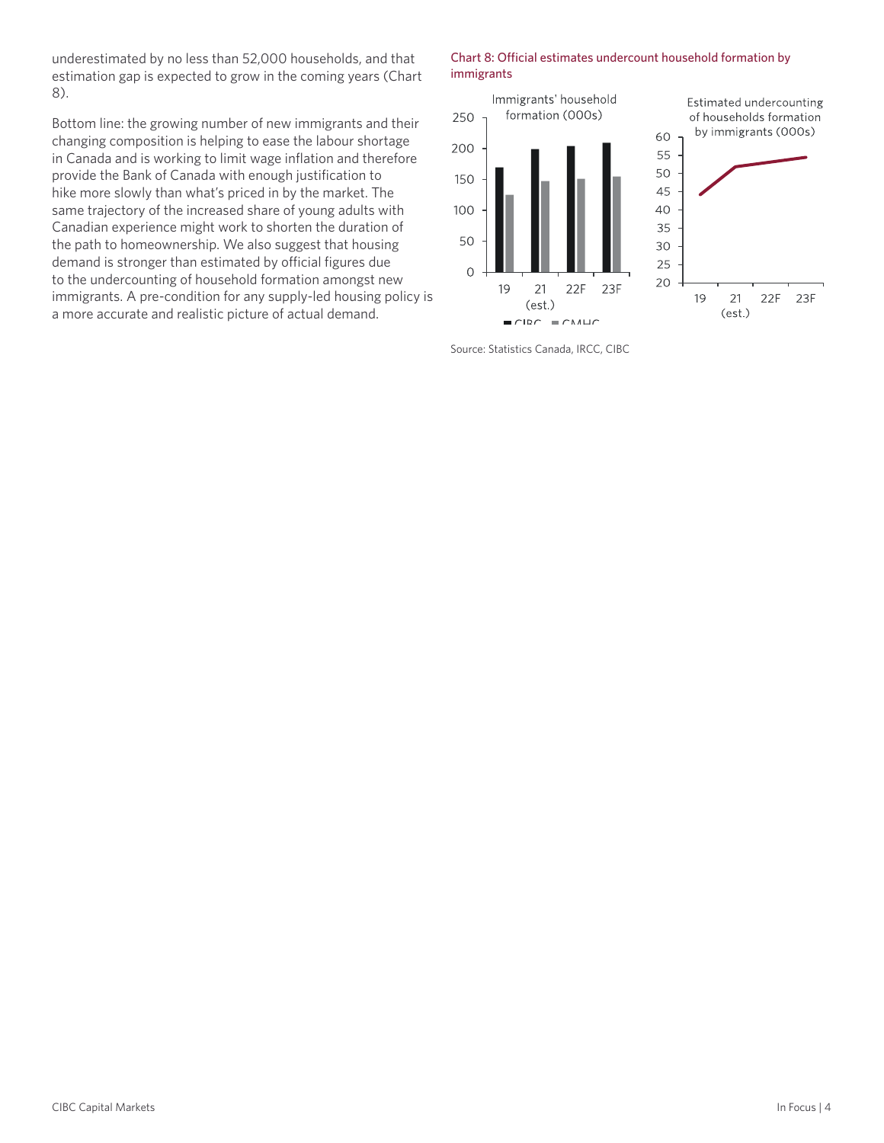underestimated by no less than 52,000 households, and that estimation gap is expected to grow in the coming years (Chart 8).

Bottom line: the growing number of new immigrants and their changing composition is helping to ease the labour shortage in Canada and is working to limit wage inflation and therefore provide the Bank of Canada with enough justification to hike more slowly than what's priced in by the market. The same trajectory of the increased share of young adults with Canadian experience might work to shorten the duration of the path to homeownership. We also suggest that housing demand is stronger than estimated by official figures due to the undercounting of household formation amongst new immigrants. A pre-condition for any supply-led housing policy is a more accurate and realistic picture of actual demand.

#### Chart 8: Official estimates undercount household formation by immigrants



Source: Statistics Canada, IRCC, CIBC